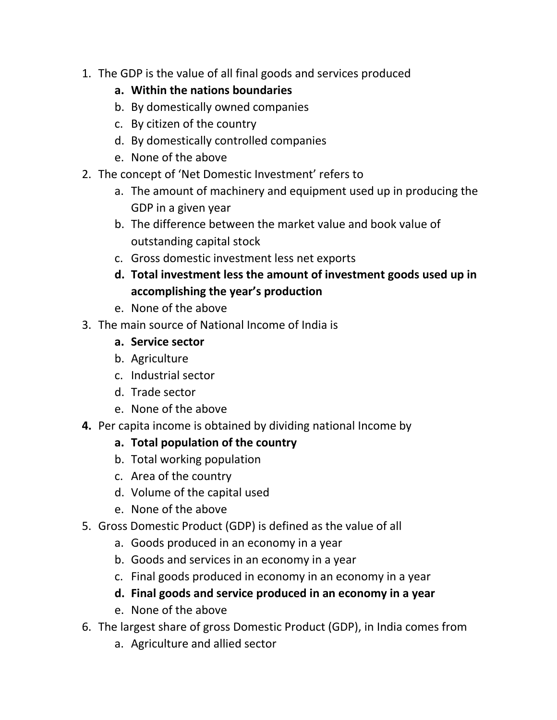1. The GDP is the value of all final goods and services produced

## **a. Within the nations boundaries**

- b. By domestically owned companies
- c. By citizen of the country
- d. By domestically controlled companies
- e. None of the above
- 2. The concept of 'Net Domestic Investment' refers to
	- a. The amount of machinery and equipment used up in producing the GDP in a given year
	- b. The difference between the market value and book value of outstanding capital stock
	- c. Gross domestic investment less net exports
	- **d. Total investment less the amount of investment goods used up in accomplishing the year's production**
	- e. None of the above
- 3. The main source of National Income of India is
	- **a. Service sector**
	- b. Agriculture
	- c. Industrial sector
	- d. Trade sector
	- e. None of the above
- **4.** Per capita income is obtained by dividing national Income by

## **a. Total population of the country**

- b. Total working population
- c. Area of the country
- d. Volume of the capital used
- e. None of the above
- 5. Gross Domestic Product (GDP) is defined as the value of all
	- a. Goods produced in an economy in a year
	- b. Goods and services in an economy in a year
	- c. Final goods produced in economy in an economy in a year
	- **d. Final goods and service produced in an economy in a year**
	- e. None of the above
- 6. The largest share of gross Domestic Product (GDP), in India comes from
	- a. Agriculture and allied sector